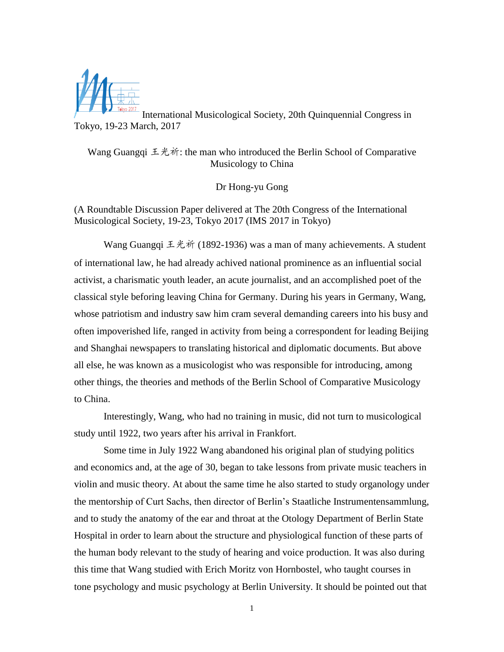

International Musicological Society, 20th Quinquennial Congress in Tokyo, 19-23 March, 2017

Wang Guangqi 王光祈: the man who introduced the Berlin School of Comparative Musicology to China

Dr Hong-yu Gong

(A Roundtable Discussion Paper delivered at The 20th Congress of the International Musicological Society, 19-23, Tokyo 2017 (IMS 2017 in Tokyo)

Wang Guangqi 王光祈 (1892-1936) was a man of many achievements. A student of international law, he had already achived national prominence as an influential social activist, a charismatic youth leader, an acute journalist, and an accomplished poet of the classical style beforing leaving China for Germany. During his years in Germany, Wang, whose patriotism and industry saw him cram several demanding careers into his busy and often impoverished life, ranged in activity from being a correspondent for leading Beijing and Shanghai newspapers to translating historical and diplomatic documents. But above all else, he was known as a musicologist who was responsible for introducing, among other things, the theories and methods of the Berlin School of Comparative Musicology to China.

Interestingly, Wang, who had no training in music, did not turn to musicological study until 1922, two years after his arrival in Frankfort.

Some time in July 1922 Wang abandoned his original plan of studying politics and economics and, at the age of 30, began to take lessons from private music teachers in violin and music theory. At about the same time he also started to study organology under the mentorship of Curt Sachs, then director of Berlin's Staatliche Instrumentensammlung, and to study the anatomy of the ear and throat at the Otology Department of Berlin State Hospital in order to learn about the structure and physiological function of these parts of the human body relevant to the study of hearing and voice production. It was also during this time that Wang studied with Erich Moritz von Hornbostel, who taught courses in tone psychology and music psychology at Berlin University. It should be pointed out that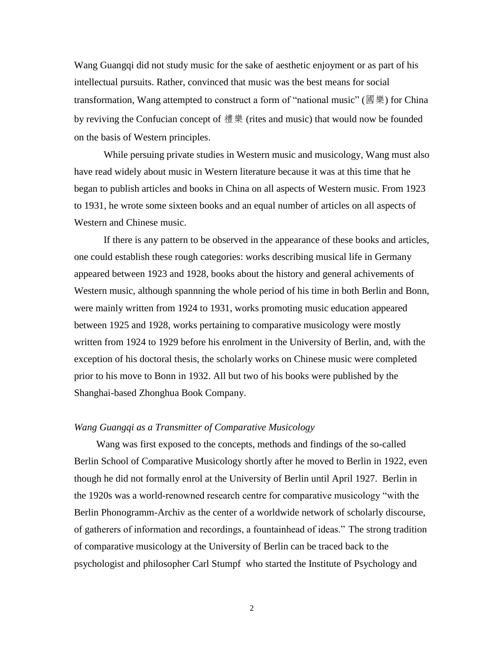Wang Guangqi did not study music for the sake of aesthetic enjoyment or as part of his intellectual pursuits. Rather, convinced that music was the best means for social transformation, Wang attempted to construct a form of "national music" ( $\mathbb{B}$   $\mathbb{R}$ ) for China by reviving the Confucian concept of 禮樂 (rites and music) that would now be founded on the basis of Western principles.

While persuing private studies in Western music and musicology, Wang must also have read widely about music in Western literature because it was at this time that he began to publish articles and books in China on all aspects of Western music. From 1923 to 1931, he wrote some sixteen books and an equal number of articles on all aspects of Western and Chinese music.

If there is any pattern to be observed in the appearance of these books and articles, one could establish these rough categories: works describing musical life in Germany appeared between 1923 and 1928, books about the history and general achivements of Western music, although spannning the whole period of his time in both Berlin and Bonn, were mainly written from 1924 to 1931, works promoting music education appeared between 1925 and 1928, works pertaining to comparative musicology were mostly written from 1924 to 1929 before his enrolment in the University of Berlin, and, with the exception of his doctoral thesis, the scholarly works on Chinese music were completed prior to his move to Bonn in 1932. All but two of his books were published by the Shanghai-based Zhonghua Book Company.

## *Wang Guangqi as a Transmitter of Comparative Musicology*

Wang was first exposed to the concepts, methods and findings of the so-called Berlin School of Comparative Musicology shortly after he moved to Berlin in 1922, even though he did not formally enrol at the University of Berlin until April 1927. Berlin in the 1920s was a world-renowned research centre for comparative musicology "with the Berlin Phonogramm-Archiv as the center of a worldwide network of scholarly discourse, of gatherers of information and recordings, a fountainhead of ideas." The strong tradition of comparative musicology at the University of Berlin can be traced back to the psychologist and philosopher Carl Stumpf who started the Institute of Psychology and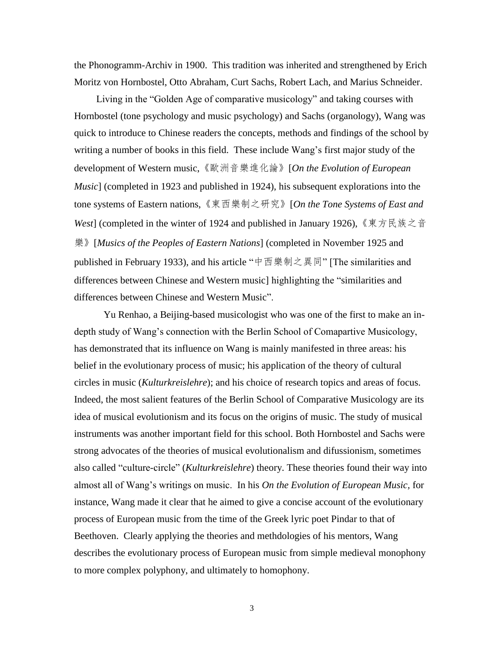the Phonogramm-Archiv in 1900. This tradition was inherited and strengthened by Erich Moritz von Hornbostel, Otto Abraham, Curt Sachs, Robert Lach, and Marius Schneider.

Living in the "Golden Age of comparative musicology" and taking courses with Hornbostel (tone psychology and music psychology) and Sachs (organology), Wang was quick to introduce to Chinese readers the concepts, methods and findings of the school by writing a number of books in this field. These include Wang's first major study of the development of Western music,《歐洲音樂進化論》[*On the Evolution of European Music*] (completed in 1923 and published in 1924), his subsequent explorations into the tone systems of Eastern nations,《東西樂制之研究》[*On the Tone Systems of East and West*] (completed in the winter of 1924 and published in January 1926),《東方民族之音 樂》[*Musics of the Peoples of Eastern Nations*] (completed in November 1925 and published in February 1933), and his article "中西樂制之異同" [The similarities and differences between Chinese and Western music] highlighting the "similarities and differences between Chinese and Western Music".

Yu Renhao, a Beijing-based musicologist who was one of the first to make an indepth study of Wang's connection with the Berlin School of Comapartive Musicology, has demonstrated that its influence on Wang is mainly manifested in three areas: his belief in the evolutionary process of music; his application of the theory of cultural circles in music (*Kulturkreislehre*); and his choice of research topics and areas of focus. Indeed, the most salient features of the Berlin School of Comparative Musicology are its idea of musical evolutionism and its focus on the origins of music. The study of musical instruments was another important field for this school. Both Hornbostel and Sachs were strong advocates of the theories of musical evolutionalism and difussionism, sometimes also called "culture-circle" (*Kulturkreislehre*) theory. These theories found their way into almost all of Wang's writings on music. In his *On the Evolution of European Music,* for instance, Wang made it clear that he aimed to give a concise account of the evolutionary process of European music from the time of the Greek lyric poet Pindar to that of Beethoven. Clearly applying the theories and methdologies of his mentors, Wang describes the evolutionary process of European music from simple medieval monophony to more complex polyphony, and ultimately to homophony.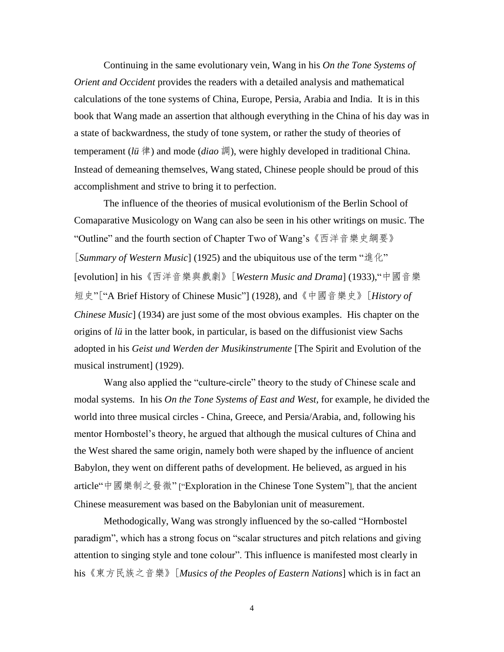Continuing in the same evolutionary vein, Wang in his *On the Tone Systems of Orient and Occident* provides the readers with a detailed analysis and mathematical calculations of the tone systems of China, Europe, Persia, Arabia and India. It is in this book that Wang made an assertion that although everything in the China of his day was in a state of backwardness, the study of tone system, or rather the study of theories of temperament (*lü*律) and mode (*diao* 調), were highly developed in traditional China. Instead of demeaning themselves, Wang stated, Chinese people should be proud of this accomplishment and strive to bring it to perfection.

The influence of the theories of musical evolutionism of the Berlin School of Comaparative Musicology on Wang can also be seen in his other writings on music. The "Outline" and the fourth section of Chapter Two of Wang's《西洋音樂史綱要》 [*Summary of Western Music*] (1925) and the ubiquitous use of the term "進化" [evolution] in his《西洋音樂與戲劇》[*Western Music and Drama*] (1933),"中國音樂 短史"["A Brief History of Chinese Music"] (1928), and 《中國音樂史》[History of *Chinese Music*] (1934) are just some of the most obvious examples. His chapter on the origins of *lü*in the latter book, in particular, is based on the diffusionist view Sachs adopted in his *Geist und Werden der Musikinstrumente* [The Spirit and Evolution of the musical instrument] (1929).

Wang also applied the "culture-circle" theory to the study of Chinese scale and modal systems. In his *On the Tone Systems of East and West,* for example, he divided the world into three musical circles - China, Greece, and Persia/Arabia, and, following his mentor Hornbostel's theory, he argued that although the musical cultures of China and the West shared the same origin, namely both were shaped by the influence of ancient Babylon, they went on different paths of development. He believed, as argued in his article"中國樂制之發微" ["Exploration in the Chinese Tone System"], that the ancient Chinese measurement was based on the Babylonian unit of measurement.

Methodogically, Wang was strongly influenced by the so-called "Hornbostel paradigm", which has a strong focus on "scalar structures and pitch relations and giving attention to singing style and tone colour". This influence is manifested most clearly in his《東方民族之音樂》[*Musics of the Peoples of Eastern Nations*] which is in fact an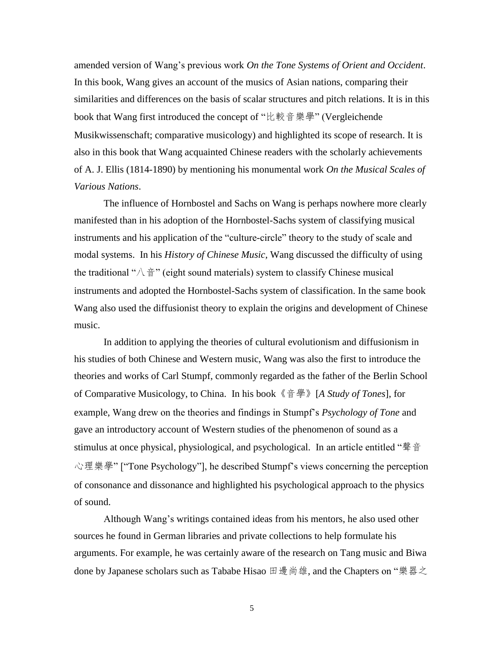amended version of Wang's previous work *On the Tone Systems of Orient and Occident*. In this book, Wang gives an account of the musics of Asian nations, comparing their similarities and differences on the basis of scalar structures and pitch relations. It is in this book that Wang first introduced the concept of "比較音樂學" (Vergleichende Musikwissenschaft; comparative musicology) and highlighted its scope of research. It is also in this book that Wang acquainted Chinese readers with the scholarly achievements of A. J. Ellis (1814-1890) by mentioning his monumental work *On the Musical Scales of Various Nations*.

The influence of Hornbostel and Sachs on Wang is perhaps nowhere more clearly manifested than in his adoption of the Hornbostel-Sachs system of classifying musical instruments and his application of the "culture-circle" theory to the study of scale and modal systems. In his *History of Chinese Music,* Wang discussed the difficulty of using the traditional " $\wedge \tilde{\sigma}$ " (eight sound materials) system to classify Chinese musical instruments and adopted the Hornbostel-Sachs system of classification. In the same book Wang also used the diffusionist theory to explain the origins and development of Chinese music.

In addition to applying the theories of cultural evolutionism and diffusionism in his studies of both Chinese and Western music, Wang was also the first to introduce the theories and works of Carl Stumpf, commonly regarded as the father of the Berlin School of Comparative Musicology, to China. In his book《音學》[*A Study of Tones*], for example, Wang drew on the theories and findings in Stumpf's *Psychology of Tone* and gave an introductory account of Western studies of the phenomenon of sound as a stimulus at once physical, physiological, and psychological. In an article entitled "聲音 心理樂學" ["Tone Psychology"], he described Stumpf's views concerning the perception of consonance and dissonance and highlighted his psychological approach to the physics of sound.

Although Wang's writings contained ideas from his mentors, he also used other sources he found in German libraries and private collections to help formulate his arguments. For example, he was certainly aware of the research on Tang music and Biwa done by Japanese scholars such as Tababe Hisao 田邊尚雄, and the Chapters on "樂器之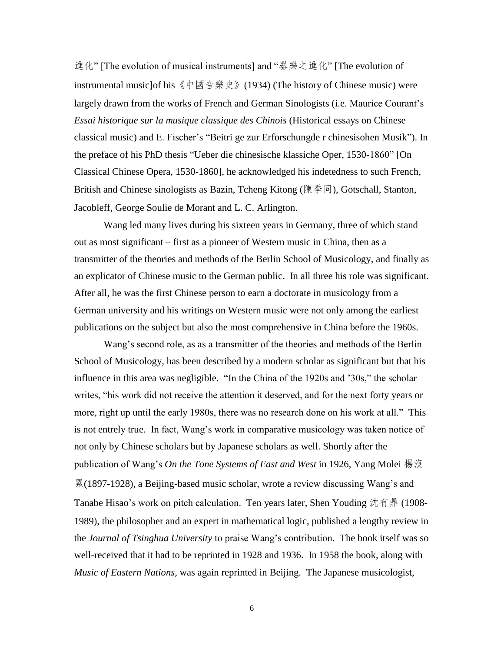進化" [The evolution of musical instruments] and "器樂之進化" [The evolution of instrumental music]of his《中國音樂史》(1934) (The history of Chinese music) were largely drawn from the works of French and German Sinologists (i.e. Maurice Courant's *Essai historique sur la musique classique des Chinois* (Historical essays on Chinese classical music) and E. Fischer's "Beitri ge zur Erforschungde r chinesisohen Musik"). In the preface of his PhD thesis "Ueber die chinesische klassiche Oper, 1530-1860" [On Classical Chinese Opera, 1530-1860], he acknowledged his indetedness to such French, British and Chinese sinologists as Bazin, Tcheng Kitong (陳季同), Gotschall, Stanton, Jacobleff, George Soulie de Morant and L. C. Arlington.

Wang led many lives during his sixteen years in Germany, three of which stand out as most significant – first as a pioneer of Western music in China, then as a transmitter of the theories and methods of the Berlin School of Musicology, and finally as an explicator of Chinese music to the German public. In all three his role was significant. After all, he was the first Chinese person to earn a doctorate in musicology from a German university and his writings on Western music were not only among the earliest publications on the subject but also the most comprehensive in China before the 1960s.

Wang's second role, as as a transmitter of the theories and methods of the Berlin School of Musicology, has been described by a modern scholar as significant but that his influence in this area was negligible. "In the China of the 1920s and '30s," the scholar writes, "his work did not receive the attention it deserved, and for the next forty years or more, right up until the early 1980s, there was no research done on his work at all." This is not entrely true. In fact, Wang's work in comparative musicology was taken notice of not only by Chinese scholars but by Japanese scholars as well. Shortly after the publication of Wang's *On the Tone Systems of East and West* in 1926, Yang Molei 楊沒 累(1897-1928), a Beijing-based music scholar, wrote a review discussing Wang's and Tanabe Hisao's work on pitch calculation. Ten years later, Shen Youding 沈有鼎 (1908- 1989), the philosopher and an expert in mathematical logic, published a lengthy review in the *Journal of Tsinghua University* to praise Wang's contribution. The book itself was so well-received that it had to be reprinted in 1928 and 1936. In 1958 the book, along with *Music of Eastern Nations*, was again reprinted in Beijing. The Japanese musicologist,